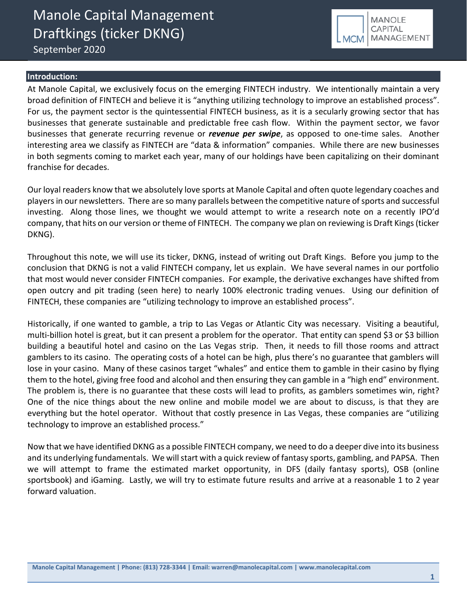September 2020



#### **Introduction:**

At Manole Capital, we exclusively focus on the emerging FINTECH industry. We intentionally maintain a very broad definition of FINTECH and believe it is "anything utilizing technology to improve an established process". For us, the payment sector is the quintessential FINTECH business, as it is a secularly growing sector that has businesses that generate sustainable and predictable free cash flow. Within the payment sector, we favor businesses that generate recurring revenue or *revenue per swipe*, as opposed to one-time sales. Another interesting area we classify as FINTECH are "data & information" companies. While there are new businesses in both segments coming to market each year, many of our holdings have been capitalizing on their dominant franchise for decades.

Our loyal readers know that we absolutely love sports at Manole Capital and often quote legendary coaches and players in our newsletters. There are so many parallels between the competitive nature of sports and successful investing. Along those lines, we thought we would attempt to write a research note on a recently IPO'd company, that hits on our version or theme of FINTECH. The company we plan on reviewing is Draft Kings (ticker DKNG).

Throughout this note, we will use its ticker, DKNG, instead of writing out Draft Kings. Before you jump to the conclusion that DKNG is not a valid FINTECH company, let us explain. We have several names in our portfolio that most would never consider FINTECH companies. For example, the derivative exchanges have shifted from open outcry and pit trading (seen here) to nearly 100% electronic trading venues. Using our definition of FINTECH, these companies are "utilizing technology to improve an established process".

Historically, if one wanted to gamble, a trip to Las Vegas or Atlantic City was necessary. Visiting a beautiful, multi-billion hotel is great, but it can present a problem for the operator. That entity can spend \$3 or \$3 billion building a beautiful hotel and casino on the Las Vegas strip. Then, it needs to fill those rooms and attract gamblers to its casino. The operating costs of a hotel can be high, plus there's no guarantee that gamblers will lose in your casino. Many of these casinos target "whales" and entice them to gamble in their casino by flying them to the hotel, giving free food and alcohol and then ensuring they can gamble in a "high end" environment. The problem is, there is no guarantee that these costs will lead to profits, as gamblers sometimes win, right? One of the nice things about the new online and mobile model we are about to discuss, is that they are everything but the hotel operator. Without that costly presence in Las Vegas, these companies are "utilizing technology to improve an established process."

Now that we have identified DKNG as a possible FINTECH company, we need to do a deeper dive into its business and its underlying fundamentals. We will start with a quick review of fantasy sports, gambling, and PAPSA. Then we will attempt to frame the estimated market opportunity, in DFS (daily fantasy sports), OSB (online sportsbook) and iGaming. Lastly, we will try to estimate future results and arrive at a reasonable 1 to 2 year forward valuation.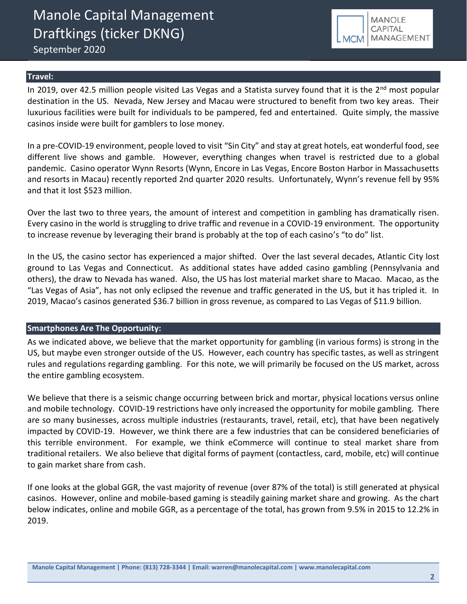

#### **Travel:**

In 2019, over 42.5 million people visited Las Vegas and a Statista survey found that it is the 2<sup>nd</sup> most popular destination in the US. Nevada, New Jersey and Macau were structured to benefit from two key areas. Their luxurious facilities were built for individuals to be pampered, fed and entertained. Quite simply, the massive casinos inside were built for gamblers to lose money.

In a pre-COVID-19 environment, people loved to visit "Sin City" and stay at great hotels, eat wonderful food, see different live shows and gamble. However, everything changes when travel is restricted due to a global pandemic. Casino operator Wynn Resorts (Wynn, Encore in Las Vegas, Encore Boston Harbor in Massachusetts and resorts in Macau) recently reported 2nd quarter 2020 results. Unfortunately, Wynn's revenue fell by 95% and that it lost \$523 million.

Over the last two to three years, the amount of interest and competition in gambling has dramatically risen. Every casino in the world is struggling to drive traffic and revenue in a COVID-19 environment. The opportunity to increase revenue by leveraging their brand is probably at the top of each casino's "to do" list.

In the US, the casino sector has experienced a major shifted. Over the last several decades, Atlantic City lost ground to Las Vegas and Connecticut. As additional states have added casino gambling (Pennsylvania and others), the draw to Nevada has waned. Also, the US has lost material market share to Macao. Macao, as the "Las Vegas of Asia", has not only eclipsed the revenue and traffic generated in the US, but it has tripled it. In 2019, Macao's casinos generated \$36.7 billion in gross revenue, as compared to Las Vegas of \$11.9 billion.

### **Smartphones Are The Opportunity:**

As we indicated above, we believe that the market opportunity for gambling (in various forms) is strong in the US, but maybe even stronger outside of the US. However, each country has specific tastes, as well as stringent rules and regulations regarding gambling. For this note, we will primarily be focused on the US market, across the entire gambling ecosystem.

We believe that there is a seismic change occurring between brick and mortar, physical locations versus online and mobile technology. COVID-19 restrictions have only increased the opportunity for mobile gambling. There are so many businesses, across multiple industries (restaurants, travel, retail, etc), that have been negatively impacted by COVID-19. However, we think there are a few industries that can be considered beneficiaries of this terrible environment. For example, we think eCommerce will continue to steal market share from traditional retailers. We also believe that digital forms of payment (contactless, card, mobile, etc) will continue to gain market share from cash.

If one looks at the global GGR, the vast majority of revenue (over 87% of the total) is still generated at physical casinos. However, online and mobile-based gaming is steadily gaining market share and growing. As the chart below indicates, online and mobile GGR, as a percentage of the total, has grown from 9.5% in 2015 to 12.2% in 2019.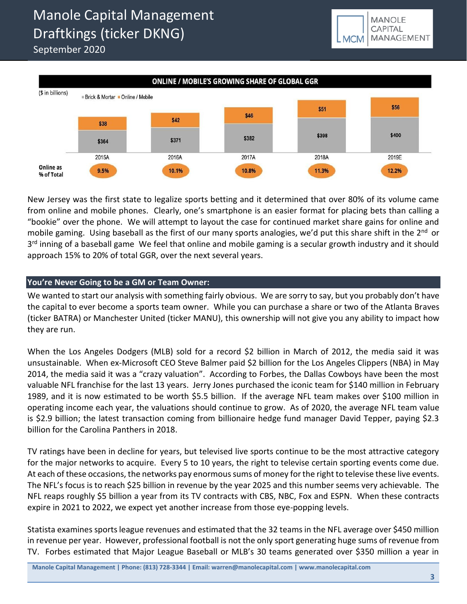September 2020



New Jersey was the first state to legalize sports betting and it determined that over 80% of its volume came from online and mobile phones. Clearly, one's smartphone is an easier format for placing bets than calling a "bookie" over the phone. We will attempt to layout the case for continued market share gains for online and mobile gaming. Using baseball as the first of our many sports analogies, we'd put this share shift in the  $2^{nd}$  or 3<sup>rd</sup> inning of a baseball game We feel that online and mobile gaming is a secular growth industry and it should approach 15% to 20% of total GGR, over the next several years.

#### **You're Never Going to be a GM or Team Owner:**

We wanted to start our analysis with something fairly obvious. We are sorry to say, but you probably don't have the capital to ever become a sports team owner. While you can purchase a share or two of the Atlanta Braves (ticker BATRA) or Manchester United (ticker MANU), this ownership will not give you any ability to impact how they are run.

When the Los Angeles Dodgers (MLB) sold for a record \$2 billion in March of 2012, the media said it was unsustainable. When ex-Microsoft CEO Steve Balmer paid \$2 billion for the Los Angeles Clippers (NBA) in May 2014, the media said it was a "crazy valuation". According to Forbes, the Dallas Cowboys have been the most valuable NFL franchise for the last 13 years. Jerry Jones purchased the iconic team for \$140 million in February 1989, and it is now estimated to be worth \$5.5 billion. If the average NFL team makes over \$100 million in operating income each year, the valuations should continue to grow. As of 2020, the average NFL team value is \$2.9 billion; the latest transaction coming from billionaire hedge fund manager David Tepper, paying \$2.3 billion for the Carolina Panthers in 2018.

TV ratings have been in decline for years, but televised live sports continue to be the most attractive category for the major networks to acquire. Every 5 to 10 years, the right to televise certain sporting events come due. At each of these occasions, the networks pay enormous sums of money for the right to televise these live events. The NFL's focus is to reach \$25 billion in revenue by the year 2025 and this number seems very achievable. The NFL reaps roughly \$5 billion a year from its TV contracts with CBS, NBC, Fox and ESPN. When these contracts expire in 2021 to 2022, we expect yet another increase from those eye-popping levels.

Statista examines sports league revenues and estimated that the 32 teams in the NFL average over \$450 million in revenue per year. However, professional football is not the only sport generating huge sums of revenue from TV. Forbes estimated that Major League Baseball or MLB's 30 teams generated over \$350 million a year in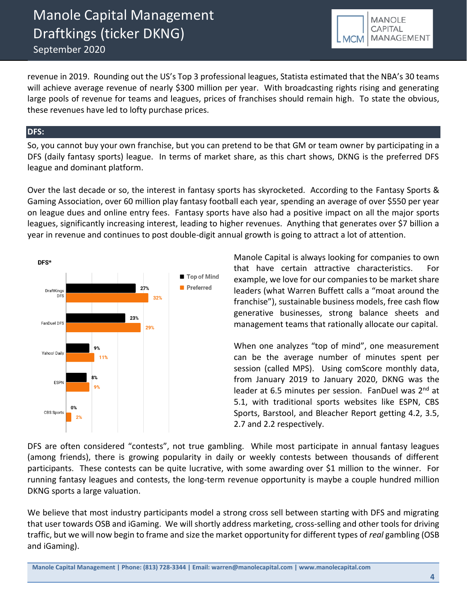

revenue in 2019. Rounding out the US's Top 3 professional leagues, Statista estimated that the NBA's 30 teams will achieve average revenue of nearly \$300 million per year. With broadcasting rights rising and generating large pools of revenue for teams and leagues, prices of franchises should remain high. To state the obvious, these revenues have led to lofty purchase prices.

#### **DFS:**

So, you cannot buy your own franchise, but you can pretend to be that GM or team owner by participating in a DFS (daily fantasy sports) league. In terms of market share, as this chart shows, DKNG is the preferred DFS league and dominant platform.

Over the last decade or so, the interest in fantasy sports has skyrocketed. According to the Fantasy Sports & Gaming Association, over 60 million play fantasy football each year, spending an average of over \$550 per year on league dues and online entry fees. Fantasy sports have also had a positive impact on all the major sports leagues, significantly increasing interest, leading to higher revenues. Anything that generates over \$7 billion a year in revenue and continues to post double-digit annual growth is going to attract a lot of attention.



Manole Capital is always looking for companies to own that have certain attractive characteristics. For example, we love for our companies to be market share leaders (what Warren Buffett calls a "moat around the franchise"), sustainable business models, free cash flow generative businesses, strong balance sheets and management teams that rationally allocate our capital.

When one analyzes "top of mind", one measurement can be the average number of minutes spent per session (called MPS). Using comScore monthly data, from January 2019 to January 2020, DKNG was the leader at 6.5 minutes per session. FanDuel was 2<sup>nd</sup> at 5.1, with traditional sports websites like ESPN, CBS Sports, Barstool, and Bleacher Report getting 4.2, 3.5, 2.7 and 2.2 respectively.

DFS are often considered "contests", not true gambling. While most participate in annual fantasy leagues (among friends), there is growing popularity in daily or weekly contests between thousands of different participants. These contests can be quite lucrative, with some awarding over \$1 million to the winner. For running fantasy leagues and contests, the long-term revenue opportunity is maybe a couple hundred million DKNG sports a large valuation.

We believe that most industry participants model a strong cross sell between starting with DFS and migrating that user towards OSB and iGaming. We will shortly address marketing, cross-selling and other tools for driving traffic, but we will now begin to frame and size the market opportunity for different types of *real* gambling (OSB and iGaming).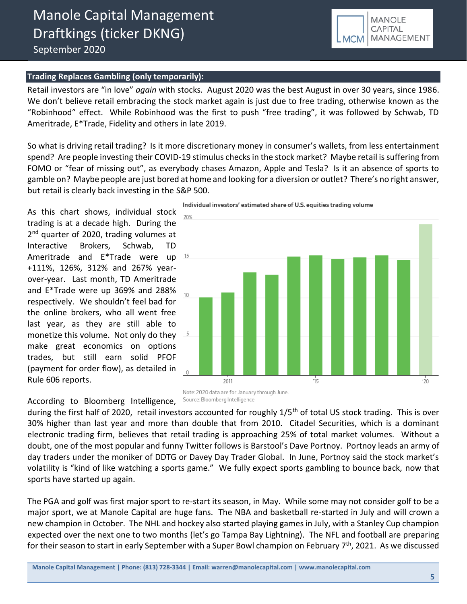#### **Trading Replaces Gambling (only temporarily):**

Retail investors are "in love" *again* with stocks. August 2020 was the best August in over 30 years, since 1986. We don't believe retail embracing the stock market again is just due to free trading, otherwise known as the "Robinhood" effect. While Robinhood was the first to push "free trading", it was followed by Schwab, TD Ameritrade, E\*Trade, Fidelity and others in late 2019.

So what is driving retail trading? Is it more discretionary money in consumer's wallets, from less entertainment spend? Are people investing their COVID-19 stimulus checks in the stock market? Maybe retail is suffering from FOMO or "fear of missing out", as everybody chases Amazon, Apple and Tesla? Is it an absence of sports to gamble on? Maybe people are just bored at home and looking for a diversion or outlet? There's no right answer, but retail is clearly back investing in the S&P 500.

As this chart shows, individual stock trading is at a decade high. During the 2<sup>nd</sup> quarter of 2020, trading volumes at Interactive Brokers, Schwab, TD Ameritrade and E\*Trade were up +111%, 126%, 312% and 267% yearover-year. Last month, TD Ameritrade and E\*Trade were up 369% and 288% respectively. We shouldn't feel bad for the online brokers, who all went free last year, as they are still able to monetize this volume. Not only do they make great economics on options trades, but still earn solid PFOF (payment for order flow), as detailed in Rule 606 reports.

According to Bloomberg Intelligence,





**MANOLE CAPITAL** 

**MCM** 

**MANAGEMENT** 

during the first half of 2020, retail investors accounted for roughly 1/5<sup>th</sup> of total US stock trading. This is over 30% higher than last year and more than double that from 2010. Citadel Securities, which is a dominant electronic trading firm, believes that retail trading is approaching 25% of total market volumes. Without a doubt, one of the most popular and funny Twitter follows is Barstool's Dave Portnoy. Portnoy leads an army of day traders under the moniker of DDTG or Davey Day Trader Global. In June, Portnoy said the stock market's volatility is "kind of like watching a sports game." We fully expect sports gambling to bounce back, now that sports have started up again.

The PGA and golf was first major sport to re-start its season, in May. While some may not consider golf to be a major sport, we at Manole Capital are huge fans. The NBA and basketball re-started in July and will crown a new champion in October. The NHL and hockey also started playing games in July, with a Stanley Cup champion expected over the next one to two months (let's go Tampa Bay Lightning). The NFL and football are preparing for their season to start in early September with a Super Bowl champion on February 7th, 2021. As we discussed

Note: 2020 data are for January through June. Source: Bloomberg Intelligence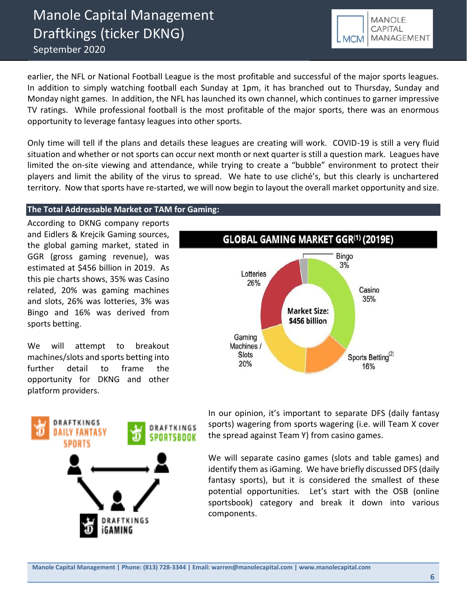**MANOLE CAPITAL** MANAGEMENT **MCM** 

earlier, the NFL or National Football League is the most profitable and successful of the major sports leagues. In addition to simply watching football each Sunday at 1pm, it has branched out to Thursday, Sunday and Monday night games. In addition, the NFL has launched its own channel, which continues to garner impressive TV ratings. While professional football is the most profitable of the major sports, there was an enormous opportunity to leverage fantasy leagues into other sports.

Only time will tell if the plans and details these leagues are creating will work. COVID-19 is still a very fluid situation and whether or not sports can occur next month or next quarter is still a question mark. Leagues have limited the on-site viewing and attendance, while trying to create a "bubble" environment to protect their players and limit the ability of the virus to spread. We hate to use cliché's, but this clearly is unchartered territory. Now that sports have re-started, we will now begin to layout the overall market opportunity and size.

> Lotteries 26%

Gaming Machines / **Slots** 

20%

### **The Total Addressable Market or TAM for Gaming:**

According to DKNG company reports and Eidlers & Krejcik Gaming sources, the global gaming market, stated in GGR (gross gaming revenue), was estimated at \$456 billion in 2019. As this pie charts shows, 35% was Casino related, 20% was gaming machines and slots, 26% was lotteries, 3% was Bingo and 16% was derived from sports betting.

We will attempt to breakout machines/slots and sports betting into further detail to frame the opportunity for DKNG and other platform providers.



In our opinion, it's important to separate DFS (daily fantasy sports) wagering from sports wagering (i.e. will Team X cover

**GLOBAL GAMING MARKET GGR(1) (2019E)** 

**Market Size:** \$456 billion

**Bingo**  $3%$ 

> Casino 35%

Sports Betting<sup>(2)</sup>

16%

the spread against Team Y) from casino games.

We will separate casino games (slots and table games) and identify them as iGaming. We have briefly discussed DFS (daily fantasy sports), but it is considered the smallest of these potential opportunities. Let's start with the OSB (online sportsbook) category and break it down into various components.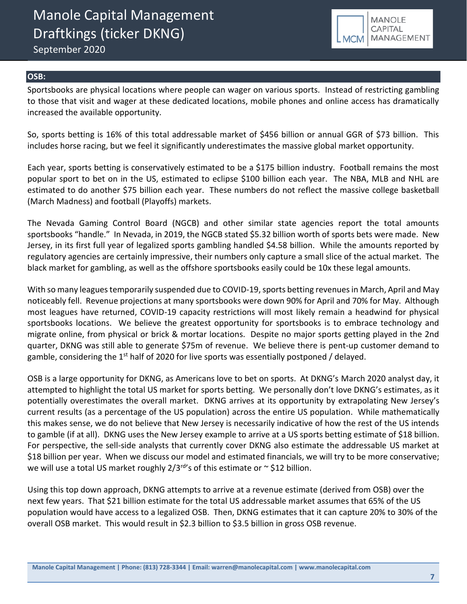September 2020



#### **OSB:**

Sportsbooks are physical locations where people can wager on various sports. Instead of restricting gambling to those that visit and wager at these dedicated locations, mobile phones and online access has dramatically increased the available opportunity.

So, sports betting is 16% of this total addressable market of \$456 billion or annual GGR of \$73 billion. This includes horse racing, but we feel it significantly underestimates the massive global market opportunity.

Each year, sports betting is conservatively estimated to be a \$175 billion industry. Football remains the most popular sport to bet on in the US, estimated to eclipse \$100 billion each year. The NBA, MLB and NHL are estimated to do another \$75 billion each year. These numbers do not reflect the massive college basketball (March Madness) and football (Playoffs) markets.

The Nevada Gaming Control Board (NGCB) and other similar state agencies report the total amounts sportsbooks "handle." In Nevada, in 2019, the NGCB stated \$5.32 billion worth of sports bets were made. New Jersey, in its first full year of legalized sports gambling handled \$4.58 billion. While the amounts reported by regulatory agencies are certainly impressive, their numbers only capture a small slice of the actual market. The black market for gambling, as well as the offshore sportsbooks easily could be 10x these legal amounts.

With so many leagues temporarily suspended due to COVID-19, sports betting revenues in March, April and May noticeably fell. Revenue projections at many sportsbooks were down 90% for April and 70% for May. Although most leagues have returned, COVID-19 capacity restrictions will most likely remain a headwind for physical sportsbooks locations. We believe the greatest opportunity for sportsbooks is to embrace technology and migrate online, from physical or brick & mortar locations. Despite no major sports getting played in the 2nd quarter, DKNG was still able to generate \$75m of revenue. We believe there is pent-up customer demand to gamble, considering the 1<sup>st</sup> half of 2020 for live sports was essentially postponed / delayed.

OSB is a large opportunity for DKNG, as Americans love to bet on sports. At DKNG's March 2020 analyst day, it attempted to highlight the total US market for sports betting. We personally don't love DKNG's estimates, as it potentially overestimates the overall market. DKNG arrives at its opportunity by extrapolating New Jersey's current results (as a percentage of the US population) across the entire US population. While mathematically this makes sense, we do not believe that New Jersey is necessarily indicative of how the rest of the US intends to gamble (if at all). DKNG uses the New Jersey example to arrive at a US sports betting estimate of \$18 billion. For perspective, the sell-side analysts that currently cover DKNG also estimate the addressable US market at \$18 billion per year. When we discuss our model and estimated financials, we will try to be more conservative; we will use a total US market roughly  $2/3^{rd}$ 's of this estimate or  $\sim$  \$12 billion.

Using this top down approach, DKNG attempts to arrive at a revenue estimate (derived from OSB) over the next few years. That \$21 billion estimate for the total US addressable market assumes that 65% of the US population would have access to a legalized OSB. Then, DKNG estimates that it can capture 20% to 30% of the overall OSB market. This would result in \$2.3 billion to \$3.5 billion in gross OSB revenue.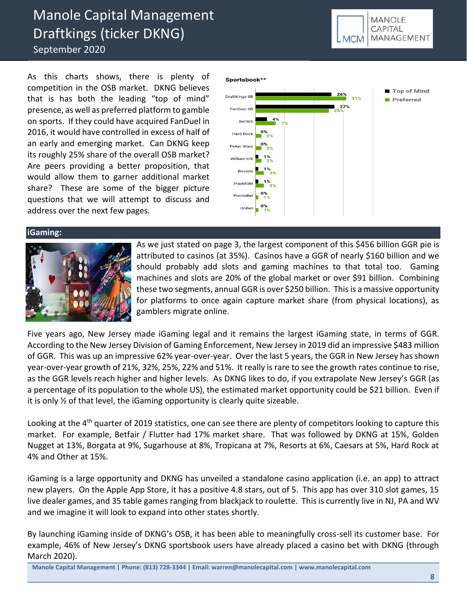**MANOLE CAPITAL** MANAGEMENT **MCM** 

As this charts shows, there is plenty of competition in the OSB market. DKNG believes that is has both the leading "top of mind" presence, as well as preferred platform to gamble on sports. If they could have acquired FanDuel in 2016, it would have controlled in excess of half of an early and emerging market. Can DKNG keep its roughly 25% share of the overall OSB market? Are peers providing a better proposition, that would allow them to garner additional market share? These are some of the bigger picture questions that we will attempt to discuss and address over the next few pages.



#### **iGaming:**



As we just stated on page 3, the largest component of this \$456 billion GGR pie is attributed to casinos (at 35%). Casinos have a GGR of nearly \$160 billion and we should probably add slots and gaming machines to that total too. Gaming machines and slots are 20% of the global market or over \$91 billion. Combining these two segments, annual GGR is over \$250 billion. This is a massive opportunity for platforms to once again capture market share (from physical locations), as gamblers migrate online.

Five years ago, New Jersey made iGaming legal and it remains the largest iGaming state, in terms of GGR. According to the New Jersey Division of Gaming Enforcement, New Jersey in 2019 did an impressive \$483 million of GGR. This was up an impressive 62% year-over-year. Over the last 5 years, the GGR in New Jersey has shown year-over-year growth of 21%, 32%, 25%, 22% and 51%. It really is rare to see the growth rates continue to rise, as the GGR levels reach higher and higher levels. As DKNG likes to do, if you extrapolate New Jersey's GGR (as a percentage of its population to the whole US), the estimated market opportunity could be \$21 billion. Even if it is only  $\frac{1}{2}$  of that level, the iGaming opportunity is clearly quite sizeable.

Looking at the 4<sup>th</sup> quarter of 2019 statistics, one can see there are plenty of competitors looking to capture this market. For example, Betfair / Flutter had 17% market share. That was followed by DKNG at 15%, Golden Nugget at 13%, Borgata at 9%, Sugarhouse at 8%, Tropicana at 7%, Resorts at 6%, Caesars at 5%, Hard Rock at 4% and Other at 15%.

iGaming is a large opportunity and DKNG has unveiled a standalone casino application (i.e. an app) to attract new players. On the Apple App Store, it has a positive 4.8 stars, out of 5. This app has over 310 slot games, 15 live dealer games, and 35 table games ranging from blackjack to roulette. This is currently live in NJ, PA and WV and we imagine it will look to expand into other states shortly.

By launching iGaming inside of DKNG's OSB, it has been able to meaningfully cross-sell its customer base. For example, 46% of New Jersey's DKNG sportsbook users have already placed a casino bet with DKNG (through March 2020).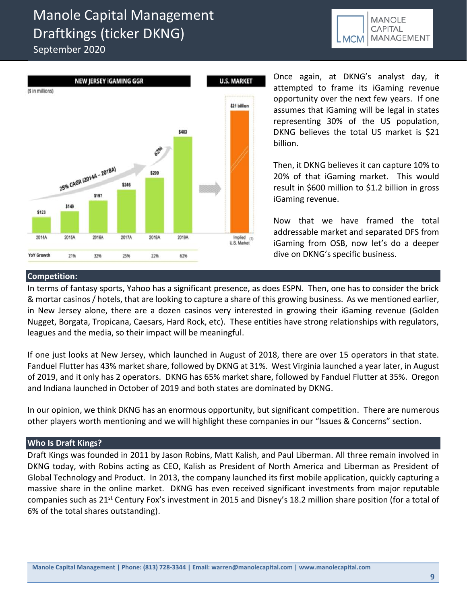September 2020





Once again, at DKNG's analyst day, it attempted to frame its iGaming revenue opportunity over the next few years. If one assumes that iGaming will be legal in states representing 30% of the US population, DKNG believes the total US market is \$21 billion.

Then, it DKNG believes it can capture 10% to 20% of that iGaming market. This would result in \$600 million to \$1.2 billion in gross iGaming revenue.

Now that we have framed the total addressable market and separated DFS from iGaming from OSB, now let's do a deeper dive on DKNG's specific business.

### **Competition:**

In terms of fantasy sports, Yahoo has a significant presence, as does ESPN. Then, one has to consider the brick & mortar casinos / hotels, that are looking to capture a share of this growing business. As we mentioned earlier, in New Jersey alone, there are a dozen casinos very interested in growing their iGaming revenue (Golden Nugget, Borgata, Tropicana, Caesars, Hard Rock, etc). These entities have strong relationships with regulators, leagues and the media, so their impact will be meaningful.

If one just looks at New Jersey, which launched in August of 2018, there are over 15 operators in that state. Fanduel Flutter has 43% market share, followed by DKNG at 31%. West Virginia launched a year later, in August of 2019, and it only has 2 operators. DKNG has 65% market share, followed by Fanduel Flutter at 35%. Oregon and Indiana launched in October of 2019 and both states are dominated by DKNG.

In our opinion, we think DKNG has an enormous opportunity, but significant competition. There are numerous other players worth mentioning and we will highlight these companies in our "Issues & Concerns" section.

#### **Who Is Draft Kings?**

Draft Kings was founded in 2011 by Jason Robins, Matt Kalish, and Paul Liberman. All three remain involved in DKNG today, with Robins acting as CEO, Kalish as President of North America and Liberman as President of Global Technology and Product. In 2013, the company launched its first mobile application, quickly capturing a massive share in the online market. DKNG has even received significant investments from major reputable companies such as 21<sup>st</sup> Century Fox's investment in 2015 and Disney's 18.2 million share position (for a total of 6% of the total shares outstanding).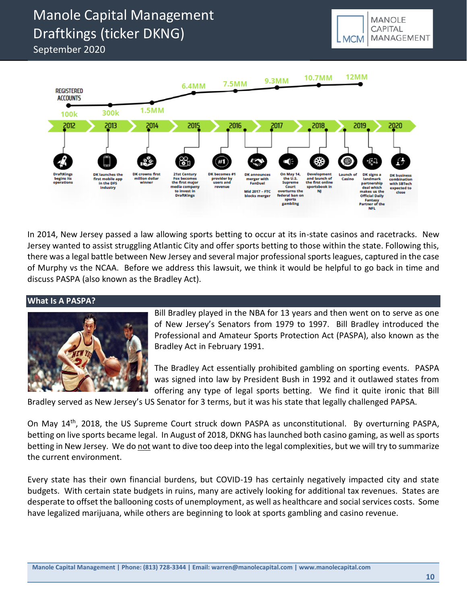September 2020





In 2014, New Jersey passed a law allowing sports betting to occur at its in-state casinos and racetracks. New Jersey wanted to assist struggling Atlantic City and offer sports betting to those within the state. Following this, there was a legal battle between New Jersey and several major professional sports leagues, captured in the case of Murphy vs the NCAA. Before we address this lawsuit, we think it would be helpful to go back in time and discuss PASPA (also known as the Bradley Act).

#### **What Is A PASPA?**



Bill Bradley played in the NBA for 13 years and then went on to serve as one of New Jersey's Senators from 1979 to 1997. Bill Bradley introduced the Professional and Amateur Sports Protection Act (PASPA), also known as the Bradley Act in February 1991.

The Bradley Act essentially prohibited gambling on sporting events. PASPA was signed into law by President Bush in 1992 and it outlawed states from offering any type of legal sports betting. We find it quite ironic that Bill

Bradley served as New Jersey's US Senator for 3 terms, but it was his state that legally challenged PAPSA.

On May 14<sup>th</sup>, 2018, the US Supreme Court struck down PASPA as unconstitutional. By overturning PASPA, betting on live sports became legal. In August of 2018, DKNG has launched both casino gaming, as well as sports betting in New Jersey. We do not want to dive too deep into the legal complexities, but we will try to summarize the current environment.

Every state has their own financial burdens, but COVID-19 has certainly negatively impacted city and state budgets. With certain state budgets in ruins, many are actively looking for additional tax revenues. States are desperate to offset the ballooning costs of unemployment, as well as healthcare and social services costs. Some have legalized marijuana, while others are beginning to look at sports gambling and casino revenue.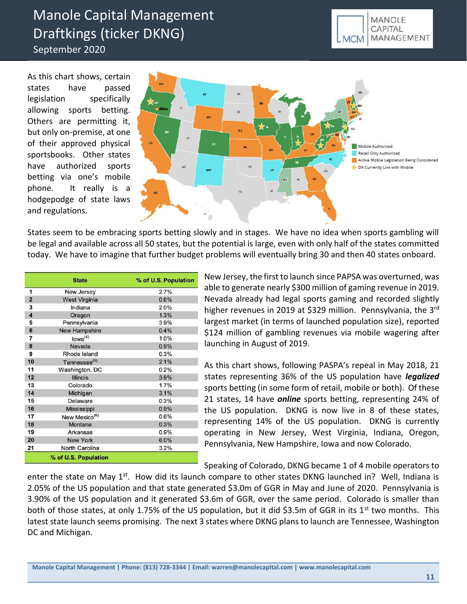As this chart shows, certain states have passed legislation specifically allowing sports betting. Others are permitting it, but only on-premise, at one of their approved physical sportsbooks. Other states have authorized sports betting via one's mobile phone. It really is a hodgepodge of state laws and regulations.



States seem to be embracing sports betting slowly and in stages. We have no idea when sports gambling will be legal and available across all 50 states, but the potential is large, even with only half of the states committed today. We have to imagine that further budget problems will eventually bring 30 and then 40 states onboard.

|                         | <b>State</b>              | % of U.S. Population |
|-------------------------|---------------------------|----------------------|
| 1                       | <b>New Jersey</b>         | 2.7%                 |
| $\overline{2}$          | <b>West Virginia</b>      | 0.6%                 |
| 3                       | Indiana                   | 2.0%                 |
| $\overline{\mathbf{4}}$ | Oregon                    | 1.3%                 |
| 5                       | Pennsylvania              | 3.9%                 |
| 6                       | <b>New Hampshire</b>      | 0.4%                 |
| 7                       | Iowa <sup>(4)</sup>       | 1.0%                 |
| 8                       | Nevada                    | 0.9%                 |
| 9                       | Rhode Island              | 0.3%                 |
| 10                      | Tennessee <sup>(5)</sup>  | 2.1%                 |
| 11                      | Washington, DC            | 0.2%                 |
| 12                      | <b>Illinois</b>           | 3.9%                 |
| 13                      | Colorado                  | 1.7%                 |
| 14                      | Michigan                  | 3.1%                 |
| 15                      | Delaware                  | 0.3%                 |
| 16                      | Mississippi               | 0.9%                 |
| 17                      | New Mexico <sup>(6)</sup> | 0.6%                 |
| 18                      | Montana                   | 0.3%                 |
| 19                      | Arkansas                  | 0.9%                 |
| 20                      | <b>New York</b>           | 6.0%                 |
| 21                      | North Carolina            | 3.2%                 |
|                         | % of U.S. Population      |                      |

New Jersey, the first to launch since PAPSA was overturned, was able to generate nearly \$300 million of gaming revenue in 2019. Nevada already had legal sports gaming and recorded slightly higher revenues in 2019 at \$329 million. Pennsylvania, the 3rd largest market (in terms of launched population size), reported \$124 million of gambling revenues via mobile wagering after launching in August of 2019.

As this chart shows, following PASPA's repeal in May 2018, 21 states representing 36% of the US population have *legalized* sports betting (in some form of retail, mobile or both). Of these 21 states, 14 have *online* sports betting, representing 24% of the US population. DKNG is now live in 8 of these states, representing 14% of the US population. DKNG is currently operating in New Jersey, West Virginia, Indiana, Oregon, Pennsylvania, New Hampshire, Iowa and now Colorado.

Speaking of Colorado, DKNG became 1 of 4 mobile operators to

enter the state on May 1<sup>st</sup>. How did its launch compare to other states DKNG launched in? Well, Indiana is 2.05% of the US population and that state generated \$3.0m of GGR in May and June of 2020. Pennsylvania is 3.90% of the US population and it generated \$3.6m of GGR, over the same period. Colorado is smaller than both of those states, at only 1.75% of the US population, but it did \$3.5m of GGR in its  $1<sup>st</sup>$  two months. This latest state launch seems promising. The next 3 states where DKNG plans to launch are Tennessee, Washington DC and Michigan.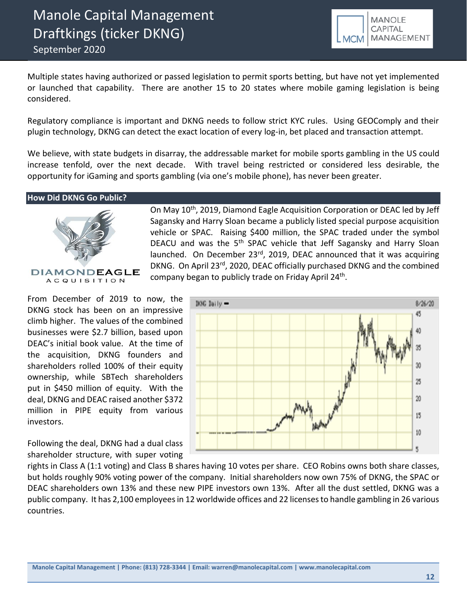

Multiple states having authorized or passed legislation to permit sports betting, but have not yet implemented or launched that capability. There are another 15 to 20 states where mobile gaming legislation is being considered.

Regulatory compliance is important and DKNG needs to follow strict KYC rules. Using GEOComply and their plugin technology, DKNG can detect the exact location of every log-in, bet placed and transaction attempt.

We believe, with state budgets in disarray, the addressable market for mobile sports gambling in the US could increase tenfold, over the next decade. With travel being restricted or considered less desirable, the opportunity for iGaming and sports gambling (via one's mobile phone), has never been greater.

### **How Did DKNG Go Public?**



On May 10<sup>th</sup>, 2019, Diamond Eagle Acquisition Corporation or DEAC led by Jeff Sagansky and Harry Sloan became a publicly listed special purpose acquisition vehicle or SPAC. Raising \$400 million, the SPAC traded under the symbol DEACU and was the 5<sup>th</sup> SPAC vehicle that Jeff Sagansky and Harry Sloan launched. On December 23<sup>rd</sup>, 2019, DEAC announced that it was acquiring DKNG. On April 23<sup>rd</sup>, 2020, DEAC officially purchased DKNG and the combined company began to publicly trade on Friday April 24<sup>th</sup>.

From December of 2019 to now, the DKNG stock has been on an impressive climb higher. The values of the combined businesses were \$2.7 billion, based upon DEAC's initial book value. At the time of the acquisition, DKNG founders and shareholders rolled 100% of their equity ownership, while SBTech shareholders put in \$450 million of equity. With the deal, DKNG and DEAC raised another \$372 million in PIPE equity from various investors.

Following the deal, DKNG had a dual class shareholder structure, with super voting



rights in Class A (1:1 voting) and Class B shares having 10 votes per share. CEO Robins owns both share classes, but holds roughly 90% voting power of the company. Initial shareholders now own 75% of DKNG, the SPAC or DEAC shareholders own 13% and these new PIPE investors own 13%. After all the dust settled, DKNG was a public company. It has 2,100 employees in 12 worldwide offices and 22 licenses to handle gambling in 26 various countries.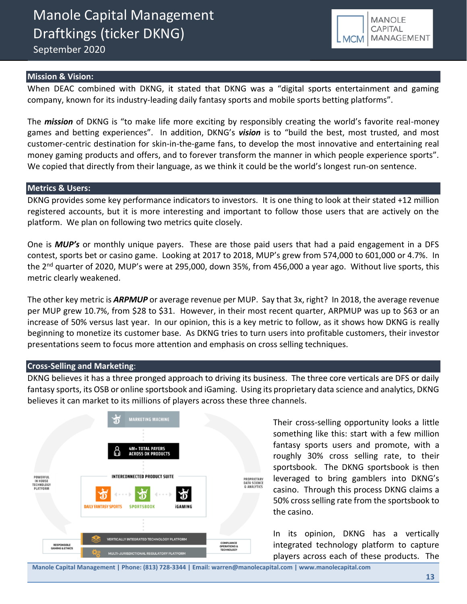**MANOLE CAPITAL** MANAGEMENT **MCM** 

#### **Mission & Vision:**

When DEAC combined with DKNG, it stated that DKNG was a "digital sports entertainment and gaming company, known for its industry-leading daily fantasy sports and mobile sports betting platforms".

The *mission* of DKNG is "to make life more exciting by responsibly creating the world's favorite real-money games and betting experiences". In addition, DKNG's *vision* is to "build the best, most trusted, and most customer-centric destination for skin-in-the-game fans, to develop the most innovative and entertaining real money gaming products and offers, and to forever transform the manner in which people experience sports". We copied that directly from their language, as we think it could be the world's longest run-on sentence.

#### **Metrics & Users:**

DKNG provides some key performance indicators to investors. It is one thing to look at their stated +12 million registered accounts, but it is more interesting and important to follow those users that are actively on the platform. We plan on following two metrics quite closely.

One is *MUP's* or monthly unique payers. These are those paid users that had a paid engagement in a DFS contest, sports bet or casino game. Looking at 2017 to 2018, MUP's grew from 574,000 to 601,000 or 4.7%. In the  $2<sup>nd</sup>$  quarter of 2020, MUP's were at 295,000, down 35%, from 456,000 a year ago. Without live sports, this metric clearly weakened.

The other key metric is *ARPMUP* or average revenue per MUP. Say that 3x, right? In 2018, the average revenue per MUP grew 10.7%, from \$28 to \$31. However, in their most recent quarter, ARPMUP was up to \$63 or an increase of 50% versus last year. In our opinion, this is a key metric to follow, as it shows how DKNG is really beginning to monetize its customer base. As DKNG tries to turn users into profitable customers, their investor presentations seem to focus more attention and emphasis on cross selling techniques.

#### **Cross-Selling and Marketing**:

DKNG believes it has a three pronged approach to driving its business. The three core verticals are DFS or daily fantasy sports, its OSB or online sportsbook and iGaming. Using its proprietary data science and analytics, DKNG believes it can market to its millions of players across these three channels.



Their cross-selling opportunity looks a little something like this: start with a few million fantasy sports users and promote, with a roughly 30% cross selling rate, to their sportsbook. The DKNG sportsbook is then leveraged to bring gamblers into DKNG's casino. Through this process DKNG claims a 50% cross selling rate from the sportsbook to the casino.

In its opinion, DKNG has a vertically integrated technology platform to capture players across each of these products. The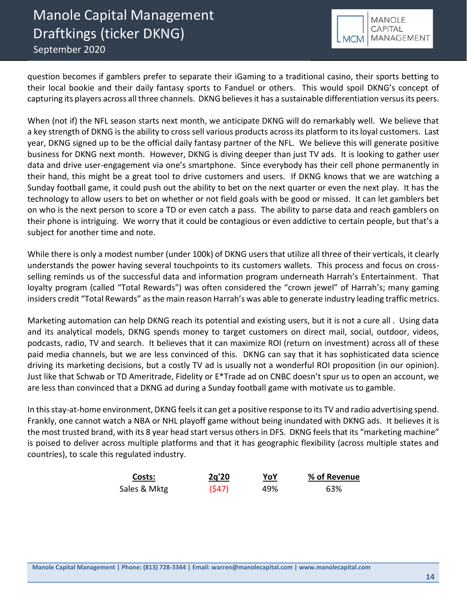

question becomes if gamblers prefer to separate their iGaming to a traditional casino, their sports betting to their local bookie and their daily fantasy sports to Fanduel or others. This would spoil DKNG's concept of capturing its players across all three channels. DKNG believes it has a sustainable differentiation versus its peers.

When (not if) the NFL season starts next month, we anticipate DKNG will do remarkably well. We believe that a key strength of DKNG is the ability to cross sell various products across its platform to its loyal customers. Last year, DKNG signed up to be the official daily fantasy partner of the NFL. We believe this will generate positive business for DKNG next month. However, DKNG is diving deeper than just TV ads. It is looking to gather user data and drive user-engagement via one's smartphone. Since everybody has their cell phone permanently in their hand, this might be a great tool to drive customers and users. If DKNG knows that we are watching a Sunday football game, it could push out the ability to bet on the next quarter or even the next play. It has the technology to allow users to bet on whether or not field goals with be good or missed. It can let gamblers bet on who is the next person to score a TD or even catch a pass. The ability to parse data and reach gamblers on their phone is intriguing. We worry that it could be contagious or even addictive to certain people, but that's a subject for another time and note.

While there is only a modest number (under 100k) of DKNG users that utilize all three of their verticals, it clearly understands the power having several touchpoints to its customers wallets. This process and focus on crossselling reminds us of the successful data and information program underneath Harrah's Entertainment. That loyalty program (called "Total Rewards") was often considered the "crown jewel" of Harrah's; many gaming insiders credit "Total Rewards" as the main reason Harrah's was able to generate industry leading traffic metrics.

Marketing automation can help DKNG reach its potential and existing users, but it is not a cure all . Using data and its analytical models, DKNG spends money to target customers on direct mail, social, outdoor, videos, podcasts, radio, TV and search. It believes that it can maximize ROI (return on investment) across all of these paid media channels, but we are less convinced of this. DKNG can say that it has sophisticated data science driving its marketing decisions, but a costly TV ad is usually not a wonderful ROI proposition (in our opinion). Just like that Schwab or TD Ameritrade, Fidelity or E\*Trade ad on CNBC doesn't spur us to open an account, we are less than convinced that a DKNG ad during a Sunday football game with motivate us to gamble.

In this stay-at-home environment, DKNG feels it can get a positive response to its TV and radio advertising spend. Frankly, one cannot watch a NBA or NHL playoff game without being inundated with DKNG ads. It believes it is the most trusted brand, with its 8 year head start versus others in DFS. DKNG feels that its "marketing machine" is poised to deliver across multiple platforms and that it has geographic flexibility (across multiple states and countries), to scale this regulated industry.

| Costs:       | 2g'20 | YoY<br>and the control of the control of | % of Revenue |
|--------------|-------|------------------------------------------|--------------|
| Sales & Mktg | (547) | 49%                                      | 63%          |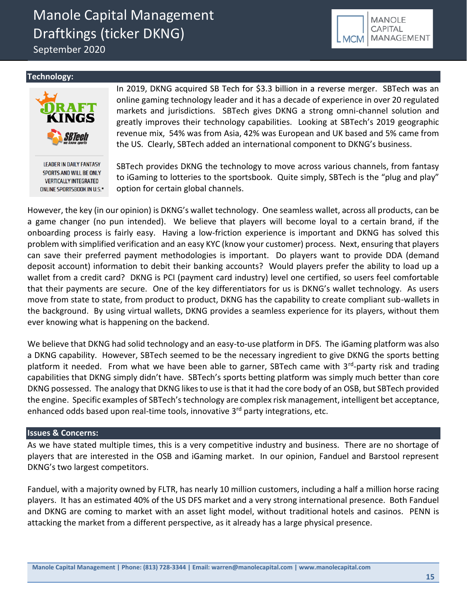September 2020



#### **Technology:**



**LEADER IN DAILY FANTASY** SPORTS AND WILL BE ONLY **VERTICALLY INTEGRATED ONLINE SPORTSBOOK IN U.S.\***  In 2019, DKNG acquired SB Tech for \$3.3 billion in a reverse merger. SBTech was an online gaming technology leader and it has a decade of experience in over 20 regulated markets and jurisdictions. SBTech gives DKNG a strong omni-channel solution and greatly improves their technology capabilities. Looking at SBTech's 2019 geographic revenue mix, 54% was from Asia, 42% was European and UK based and 5% came from the US. Clearly, SBTech added an international component to DKNG's business.

SBTech provides DKNG the technology to move across various channels, from fantasy to iGaming to lotteries to the sportsbook. Quite simply, SBTech is the "plug and play" option for certain global channels.

However, the key (in our opinion) is DKNG's wallet technology. One seamless wallet, across all products, can be a game changer (no pun intended). We believe that players will become loyal to a certain brand, if the onboarding process is fairly easy. Having a low-friction experience is important and DKNG has solved this problem with simplified verification and an easy KYC (know your customer) process. Next, ensuring that players can save their preferred payment methodologies is important. Do players want to provide DDA (demand deposit account) information to debit their banking accounts? Would players prefer the ability to load up a wallet from a credit card? DKNG is PCI (payment card industry) level one certified, so users feel comfortable that their payments are secure. One of the key differentiators for us is DKNG's wallet technology. As users move from state to state, from product to product, DKNG has the capability to create compliant sub-wallets in the background. By using virtual wallets, DKNG provides a seamless experience for its players, without them ever knowing what is happening on the backend.

We believe that DKNG had solid technology and an easy-to-use platform in DFS. The iGaming platform was also a DKNG capability. However, SBTech seemed to be the necessary ingredient to give DKNG the sports betting platform it needed. From what we have been able to garner, SBTech came with 3<sup>rd</sup>-party risk and trading capabilities that DKNG simply didn't have. SBTech's sports betting platform was simply much better than core DKNG possessed. The analogy that DKNG likes to use is that it had the core body of an OSB, but SBTech provided the engine. Specific examples of SBTech's technology are complex risk management, intelligent bet acceptance, enhanced odds based upon real-time tools, innovative 3<sup>rd</sup> party integrations, etc.

#### **Issues & Concerns:**

As we have stated multiple times, this is a very competitive industry and business. There are no shortage of players that are interested in the OSB and iGaming market. In our opinion, Fanduel and Barstool represent DKNG's two largest competitors.

Fanduel, with a majority owned by FLTR, has nearly 10 million customers, including a half a million horse racing players. It has an estimated 40% of the US DFS market and a very strong international presence. Both Fanduel and DKNG are coming to market with an asset light model, without traditional hotels and casinos. PENN is attacking the market from a different perspective, as it already has a large physical presence.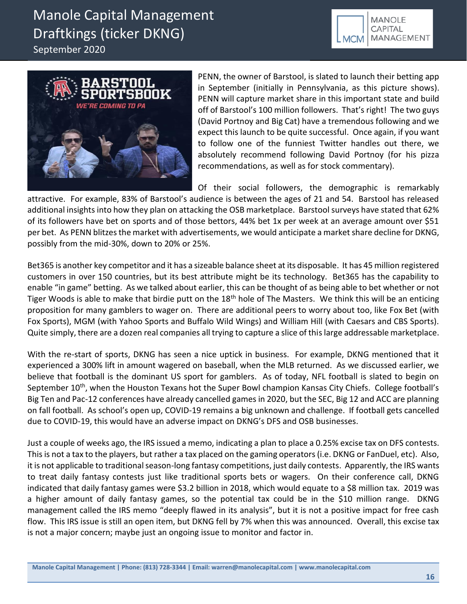



PENN, the owner of Barstool, is slated to launch their betting app in September (initially in Pennsylvania, as this picture shows). PENN will capture market share in this important state and build off of Barstool's 100 million followers. That's right! The two guys (David Portnoy and Big Cat) have a tremendous following and we expect this launch to be quite successful. Once again, if you want to follow one of the funniest Twitter handles out there, we absolutely recommend following David Portnoy (for his pizza recommendations, as well as for stock commentary).

Of their social followers, the demographic is remarkably

attractive. For example, 83% of Barstool's audience is between the ages of 21 and 54. Barstool has released additional insights into how they plan on attacking the OSB marketplace. Barstool surveys have stated that 62% of its followers have bet on sports and of those bettors, 44% bet 1x per week at an average amount over \$51 per bet. As PENN blitzes the market with advertisements, we would anticipate a market share decline for DKNG, possibly from the mid-30%, down to 20% or 25%.

Bet365 is another key competitor and it has a sizeable balance sheet at its disposable. It has 45 million registered customers in over 150 countries, but its best attribute might be its technology. Bet365 has the capability to enable "in game" betting. As we talked about earlier, this can be thought of as being able to bet whether or not Tiger Woods is able to make that birdie putt on the 18<sup>th</sup> hole of The Masters. We think this will be an enticing proposition for many gamblers to wager on. There are additional peers to worry about too, like Fox Bet (with Fox Sports), MGM (with Yahoo Sports and Buffalo Wild Wings) and William Hill (with Caesars and CBS Sports). Quite simply, there are a dozen real companies all trying to capture a slice of this large addressable marketplace.

With the re-start of sports, DKNG has seen a nice uptick in business. For example, DKNG mentioned that it experienced a 300% lift in amount wagered on baseball, when the MLB returned. As we discussed earlier, we believe that football is the dominant US sport for gamblers. As of today, NFL football is slated to begin on September 10<sup>th</sup>, when the Houston Texans hot the Super Bowl champion Kansas City Chiefs. College football's Big Ten and Pac-12 conferences have already cancelled games in 2020, but the SEC, Big 12 and ACC are planning on fall football. As school's open up, COVID-19 remains a big unknown and challenge. If football gets cancelled due to COVID-19, this would have an adverse impact on DKNG's DFS and OSB businesses.

Just a couple of weeks ago, the IRS issued a memo, indicating a plan to place a 0.25% excise tax on DFS contests. This is not a tax to the players, but rather a tax placed on the gaming operators (i.e. DKNG or FanDuel, etc). Also, it is not applicable to traditional season-long fantasy competitions, just daily contests. Apparently, the IRS wants to treat daily fantasy contests just like traditional sports bets or wagers. On their conference call, DKNG indicated that daily fantasy games were \$3.2 billion in 2018, which would equate to a \$8 million tax. 2019 was a higher amount of daily fantasy games, so the potential tax could be in the \$10 million range. DKNG management called the IRS memo "deeply flawed in its analysis", but it is not a positive impact for free cash flow. This IRS issue is still an open item, but DKNG fell by 7% when this was announced. Overall, this excise tax is not a major concern; maybe just an ongoing issue to monitor and factor in.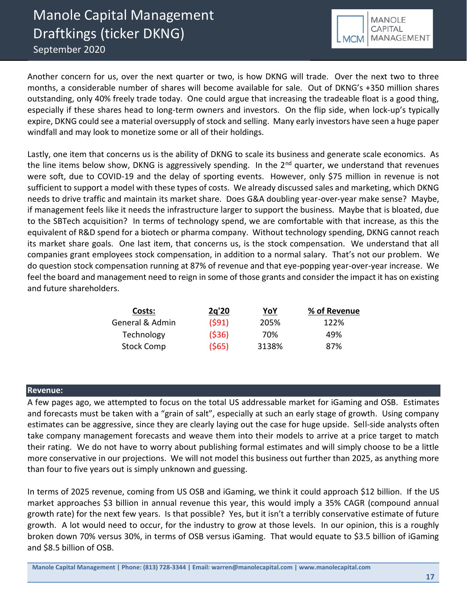

Another concern for us, over the next quarter or two, is how DKNG will trade. Over the next two to three months, a considerable number of shares will become available for sale. Out of DKNG's +350 million shares outstanding, only 40% freely trade today. One could argue that increasing the tradeable float is a good thing, especially if these shares head to long-term owners and investors. On the flip side, when lock-up's typically expire, DKNG could see a material oversupply of stock and selling. Many early investors have seen a huge paper windfall and may look to monetize some or all of their holdings.

Lastly, one item that concerns us is the ability of DKNG to scale its business and generate scale economics. As the line items below show, DKNG is aggressively spending. In the  $2<sup>nd</sup>$  quarter, we understand that revenues were soft, due to COVID-19 and the delay of sporting events. However, only \$75 million in revenue is not sufficient to support a model with these types of costs. We already discussed sales and marketing, which DKNG needs to drive traffic and maintain its market share. Does G&A doubling year-over-year make sense? Maybe, if management feels like it needs the infrastructure larger to support the business. Maybe that is bloated, due to the SBTech acquisition? In terms of technology spend, we are comfortable with that increase, as this the equivalent of R&D spend for a biotech or pharma company. Without technology spending, DKNG cannot reach its market share goals. One last item, that concerns us, is the stock compensation. We understand that all companies grant employees stock compensation, in addition to a normal salary. That's not our problem. We do question stock compensation running at 87% of revenue and that eye-popping year-over-year increase. We feel the board and management need to reign in some of those grants and consider the impact it has on existing and future shareholders.

| Costs:            | 2q'20 | YoY   | % of Revenue |
|-------------------|-------|-------|--------------|
| General & Admin   | (591) | 205%  | 122%         |
| Technology        | (536) | 70%   | 49%          |
| <b>Stock Comp</b> | (565) | 3138% | 87%          |

### **Revenue:**

A few pages ago, we attempted to focus on the total US addressable market for iGaming and OSB. Estimates and forecasts must be taken with a "grain of salt", especially at such an early stage of growth. Using company estimates can be aggressive, since they are clearly laying out the case for huge upside. Sell-side analysts often take company management forecasts and weave them into their models to arrive at a price target to match their rating. We do not have to worry about publishing formal estimates and will simply choose to be a little more conservative in our projections. We will not model this business out further than 2025, as anything more than four to five years out is simply unknown and guessing.

In terms of 2025 revenue, coming from US OSB and iGaming, we think it could approach \$12 billion. If the US market approaches \$3 billion in annual revenue this year, this would imply a 35% CAGR (compound annual growth rate) for the next few years. Is that possible? Yes, but it isn't a terribly conservative estimate of future growth. A lot would need to occur, for the industry to grow at those levels. In our opinion, this is a roughly broken down 70% versus 30%, in terms of OSB versus iGaming. That would equate to \$3.5 billion of iGaming and \$8.5 billion of OSB.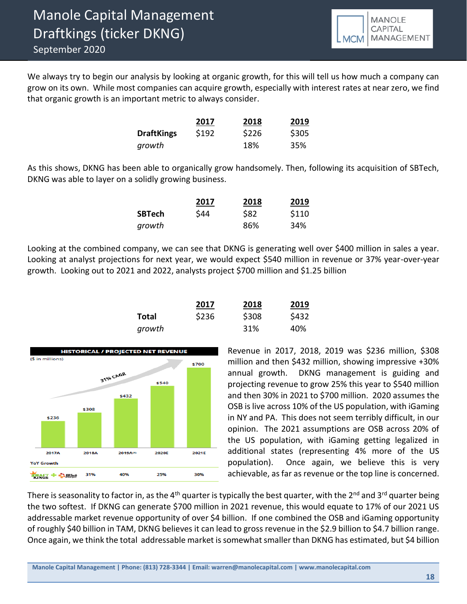

We always try to begin our analysis by looking at organic growth, for this will tell us how much a company can grow on its own. While most companies can acquire growth, especially with interest rates at near zero, we find that organic growth is an important metric to always consider.

|                   | 2017  | 2018  | 2019  |
|-------------------|-------|-------|-------|
| <b>DraftKings</b> | \$192 | \$226 | \$305 |
| growth            |       | 18%   | 35%   |

As this shows, DKNG has been able to organically grow handsomely. Then, following its acquisition of SBTech, DKNG was able to layer on a solidly growing business.

|               | 2017 | 2018 | 2019  |
|---------------|------|------|-------|
| <b>SBTech</b> | \$44 | \$82 | \$110 |
| growth        |      | 86%  | 34%   |

Looking at the combined company, we can see that DKNG is generating well over \$400 million in sales a year. Looking at analyst projections for next year, we would expect \$540 million in revenue or 37% year-over-year growth. Looking out to 2021 and 2022, analysts project \$700 million and \$1.25 billion

|        | 2017  | 2018  | 2019  |
|--------|-------|-------|-------|
| Total  | \$236 | \$308 | \$432 |
| growth |       | 31%   | 40%   |



Revenue in 2017, 2018, 2019 was \$236 million, \$308 million and then \$432 million, showing impressive +30% annual growth. DKNG management is guiding and projecting revenue to grow 25% this year to \$540 million and then 30% in 2021 to \$700 million. 2020 assumes the OSB is live across 10% of the US population, with iGaming in NY and PA. This does not seem terribly difficult, in our opinion. The 2021 assumptions are OSB across 20% of the US population, with iGaming getting legalized in additional states (representing 4% more of the US population). Once again, we believe this is very achievable, as far as revenue or the top line is concerned.

There is seasonality to factor in, as the 4<sup>th</sup> quarter is typically the best quarter, with the 2<sup>nd</sup> and 3<sup>rd</sup> quarter being the two softest. If DKNG can generate \$700 million in 2021 revenue, this would equate to 17% of our 2021 US addressable market revenue opportunity of over \$4 billion. If one combined the OSB and iGaming opportunity of roughly \$40 billion in TAM, DKNG believes it can lead to gross revenue in the \$2.9 billion to \$4.7 billion range. Once again, we think the total addressable market is somewhat smaller than DKNG has estimated, but \$4 billion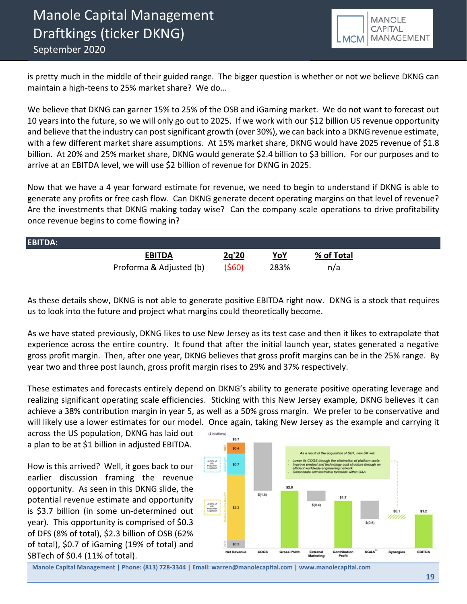

is pretty much in the middle of their guided range. The bigger question is whether or not we believe DKNG can maintain a high-teens to 25% market share? We do…

We believe that DKNG can garner 15% to 25% of the OSB and iGaming market. We do not want to forecast out 10 years into the future, so we will only go out to 2025. If we work with our \$12 billion US revenue opportunity and believe that the industry can post significant growth (over 30%), we can back into a DKNG revenue estimate, with a few different market share assumptions. At 15% market share, DKNG would have 2025 revenue of \$1.8 billion. At 20% and 25% market share, DKNG would generate \$2.4 billion to \$3 billion. For our purposes and to arrive at an EBITDA level, we will use \$2 billion of revenue for DKNG in 2025.

Now that we have a 4 year forward estimate for revenue, we need to begin to understand if DKNG is able to generate any profits or free cash flow. Can DKNG generate decent operating margins on that level of revenue? Are the investments that DKNG making today wise? Can the company scale operations to drive profitability once revenue begins to come flowing in?

| <b>EBITDA:</b> |                         |       |      |            |
|----------------|-------------------------|-------|------|------------|
|                | <b>EBITDA</b>           | 2a'20 | YoY  | % of Total |
|                | Proforma & Adjusted (b) | (560) | 283% | n/a        |

As these details show, DKNG is not able to generate positive EBITDA right now. DKNG is a stock that requires us to look into the future and project what margins could theoretically become.

As we have stated previously, DKNG likes to use New Jersey as its test case and then it likes to extrapolate that experience across the entire country. It found that after the initial launch year, states generated a negative gross profit margin. Then, after one year, DKNG believes that gross profit margins can be in the 25% range. By year two and three post launch, gross profit margin rises to 29% and 37% respectively.

These estimates and forecasts entirely depend on DKNG's ability to generate positive operating leverage and realizing significant operating scale efficiencies. Sticking with this New Jersey example, DKNG believes it can achieve a 38% contribution margin in year 5, as well as a 50% gross margin. We prefer to be conservative and will likely use a lower estimates for our model. Once again, taking New Jersey as the example and carrying it

across the US population, DKNG has laid out a plan to be at \$1 billion in adjusted EBITDA.

How is this arrived? Well, it goes back to our earlier discussion framing the revenue opportunity. As seen in this DKNG slide, the potential revenue estimate and opportunity is \$3.7 billion (in some un-determined out year). This opportunity is comprised of \$0.3 of DFS (8% of total), \$2.3 billion of OSB (62% of total), \$0.7 of iGaming (19% of total) and SBTech of \$0.4 (11% of total).

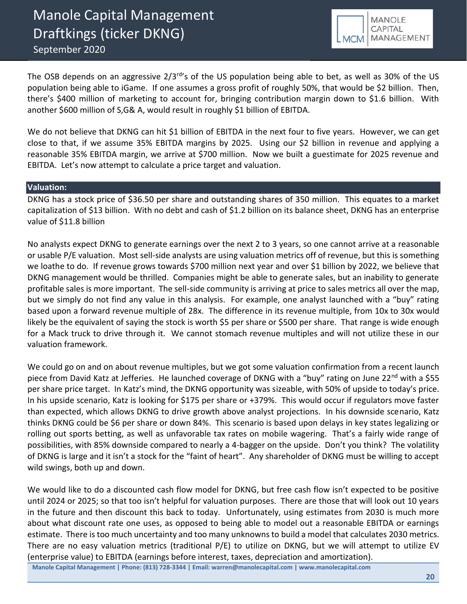

The OSB depends on an aggressive  $2/3^{rd}$ 's of the US population being able to bet, as well as 30% of the US population being able to iGame. If one assumes a gross profit of roughly 50%, that would be \$2 billion. Then, there's \$400 million of marketing to account for, bringing contribution margin down to \$1.6 billion. With another \$600 million of S,G& A, would result in roughly \$1 billion of EBITDA.

We do not believe that DKNG can hit \$1 billion of EBITDA in the next four to five years. However, we can get close to that, if we assume 35% EBITDA margins by 2025. Using our \$2 billion in revenue and applying a reasonable 35% EBITDA margin, we arrive at \$700 million. Now we built a guestimate for 2025 revenue and EBITDA. Let's now attempt to calculate a price target and valuation.

#### **Valuation:**

DKNG has a stock price of \$36.50 per share and outstanding shares of 350 million. This equates to a market capitalization of \$13 billion. With no debt and cash of \$1.2 billion on its balance sheet, DKNG has an enterprise value of \$11.8 billion

No analysts expect DKNG to generate earnings over the next 2 to 3 years, so one cannot arrive at a reasonable or usable P/E valuation. Most sell-side analysts are using valuation metrics off of revenue, but this is something we loathe to do. If revenue grows towards \$700 million next year and over \$1 billion by 2022, we believe that DKNG management would be thrilled. Companies might be able to generate sales, but an inability to generate profitable sales is more important. The sell-side community is arriving at price to sales metrics all over the map, but we simply do not find any value in this analysis. For example, one analyst launched with a "buy" rating based upon a forward revenue multiple of 28x. The difference in its revenue multiple, from 10x to 30x would likely be the equivalent of saying the stock is worth \$5 per share or \$500 per share. That range is wide enough for a Mack truck to drive through it. We cannot stomach revenue multiples and will not utilize these in our valuation framework.

We could go on and on about revenue multiples, but we got some valuation confirmation from a recent launch piece from David Katz at Jefferies. He launched coverage of DKNG with a "buy" rating on June 22<sup>nd</sup> with a \$55 per share price target. In Katz's mind, the DKNG opportunity was sizeable, with 50% of upside to today's price. In his upside scenario, Katz is looking for \$175 per share or +379%. This would occur if regulators move faster than expected, which allows DKNG to drive growth above analyst projections. In his downside scenario, Katz thinks DKNG could be \$6 per share or down 84%. This scenario is based upon delays in key states legalizing or rolling out sports betting, as well as unfavorable tax rates on mobile wagering. That's a fairly wide range of possibilities, with 85% downside compared to nearly a 4-bagger on the upside. Don't you think? The volatility of DKNG is large and it isn't a stock for the "faint of heart". Any shareholder of DKNG must be willing to accept wild swings, both up and down.

We would like to do a discounted cash flow model for DKNG, but free cash flow isn't expected to be positive until 2024 or 2025; so that too isn't helpful for valuation purposes. There are those that will look out 10 years in the future and then discount this back to today. Unfortunately, using estimates from 2030 is much more about what discount rate one uses, as opposed to being able to model out a reasonable EBITDA or earnings estimate. There is too much uncertainty and too many unknowns to build a model that calculates 2030 metrics. There are no easy valuation metrics (traditional P/E) to utilize on DKNG, but we will attempt to utilize EV (enterprise value) to EBITDA (earnings before interest, taxes, depreciation and amortization).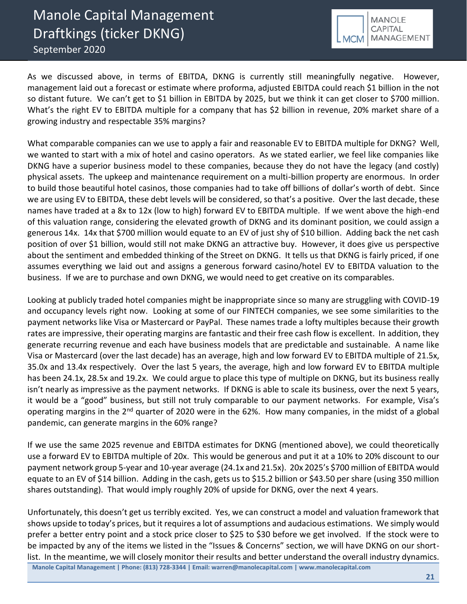

As we discussed above, in terms of EBITDA, DKNG is currently still meaningfully negative. However, management laid out a forecast or estimate where proforma, adjusted EBITDA could reach \$1 billion in the not so distant future. We can't get to \$1 billion in EBITDA by 2025, but we think it can get closer to \$700 million. What's the right EV to EBITDA multiple for a company that has \$2 billion in revenue, 20% market share of a growing industry and respectable 35% margins?

What comparable companies can we use to apply a fair and reasonable EV to EBITDA multiple for DKNG? Well, we wanted to start with a mix of hotel and casino operators. As we stated earlier, we feel like companies like DKNG have a superior business model to these companies, because they do not have the legacy (and costly) physical assets. The upkeep and maintenance requirement on a multi-billion property are enormous. In order to build those beautiful hotel casinos, those companies had to take off billions of dollar's worth of debt. Since we are using EV to EBITDA, these debt levels will be considered, so that's a positive. Over the last decade, these names have traded at a 8x to 12x (low to high) forward EV to EBITDA multiple. If we went above the high-end of this valuation range, considering the elevated growth of DKNG and its dominant position, we could assign a generous 14x. 14x that \$700 million would equate to an EV of just shy of \$10 billion. Adding back the net cash position of over \$1 billion, would still not make DKNG an attractive buy. However, it does give us perspective about the sentiment and embedded thinking of the Street on DKNG. It tells us that DKNG is fairly priced, if one assumes everything we laid out and assigns a generous forward casino/hotel EV to EBITDA valuation to the business. If we are to purchase and own DKNG, we would need to get creative on its comparables.

Looking at publicly traded hotel companies might be inappropriate since so many are struggling with COVID-19 and occupancy levels right now. Looking at some of our FINTECH companies, we see some similarities to the payment networks like Visa or Mastercard or PayPal. These names trade a lofty multiples because their growth rates are impressive, their operating margins are fantastic and their free cash flow is excellent. In addition, they generate recurring revenue and each have business models that are predictable and sustainable. A name like Visa or Mastercard (over the last decade) has an average, high and low forward EV to EBITDA multiple of 21.5x, 35.0x and 13.4x respectively. Over the last 5 years, the average, high and low forward EV to EBITDA multiple has been 24.1x, 28.5x and 19.2x. We could argue to place this type of multiple on DKNG, but its business really isn't nearly as impressive as the payment networks. If DKNG is able to scale its business, over the next 5 years, it would be a "good" business, but still not truly comparable to our payment networks. For example, Visa's operating margins in the 2<sup>nd</sup> quarter of 2020 were in the 62%. How many companies, in the midst of a global pandemic, can generate margins in the 60% range?

If we use the same 2025 revenue and EBITDA estimates for DKNG (mentioned above), we could theoretically use a forward EV to EBITDA multiple of 20x. This would be generous and put it at a 10% to 20% discount to our payment network group 5-year and 10-year average (24.1x and 21.5x). 20x 2025's \$700 million of EBITDA would equate to an EV of \$14 billion. Adding in the cash, gets us to \$15.2 billion or \$43.50 per share (using 350 million shares outstanding). That would imply roughly 20% of upside for DKNG, over the next 4 years.

Unfortunately, this doesn't get us terribly excited. Yes, we can construct a model and valuation framework that shows upside to today's prices, but it requires a lot of assumptions and audacious estimations. We simply would prefer a better entry point and a stock price closer to \$25 to \$30 before we get involved. If the stock were to be impacted by any of the items we listed in the "Issues & Concerns" section, we will have DKNG on our shortlist. In the meantime, we will closely monitor their results and better understand the overall industry dynamics.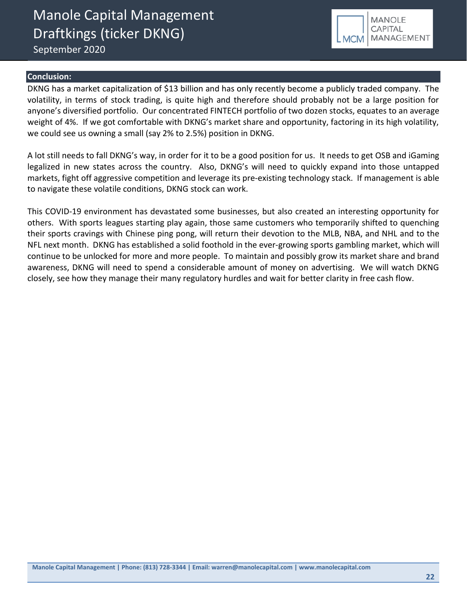September 2020



#### **Conclusion:**

DKNG has a market capitalization of \$13 billion and has only recently become a publicly traded company. The volatility, in terms of stock trading, is quite high and therefore should probably not be a large position for anyone's diversified portfolio. Our concentrated FINTECH portfolio of two dozen stocks, equates to an average weight of 4%. If we got comfortable with DKNG's market share and opportunity, factoring in its high volatility, we could see us owning a small (say 2% to 2.5%) position in DKNG.

A lot still needs to fall DKNG's way, in order for it to be a good position for us. It needs to get OSB and iGaming legalized in new states across the country. Also, DKNG's will need to quickly expand into those untapped markets, fight off aggressive competition and leverage its pre-existing technology stack. If management is able to navigate these volatile conditions, DKNG stock can work.

This COVID-19 environment has devastated some businesses, but also created an interesting opportunity for others. With sports leagues starting play again, those same customers who temporarily shifted to quenching their sports cravings with Chinese ping pong, will return their devotion to the MLB, NBA, and NHL and to the NFL next month. DKNG has established a solid foothold in the ever-growing sports gambling market, which will continue to be unlocked for more and more people. To maintain and possibly grow its market share and brand awareness, DKNG will need to spend a considerable amount of money on advertising. We will watch DKNG closely, see how they manage their many regulatory hurdles and wait for better clarity in free cash flow.